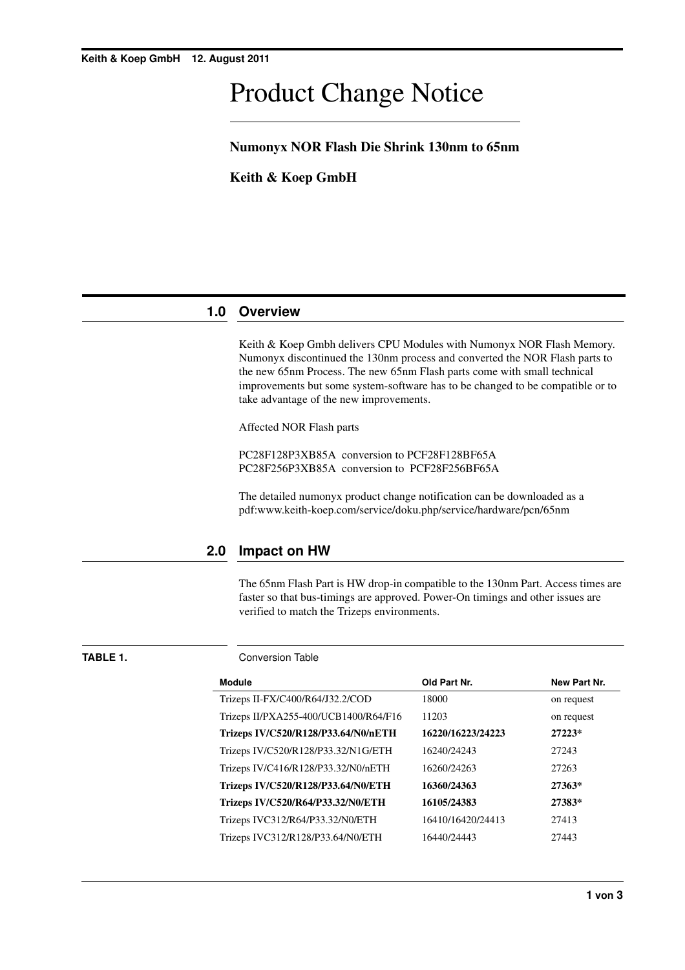# Product Change Notice

## **Numonyx NOR Flash Die Shrink 130nm to 65nm**

**Keith & Koep GmbH**

# **1.0 Overview**

Keith & Koep Gmbh delivers CPU Modules with Numonyx NOR Flash Memory. Numonyx discontinued the 130nm process and converted the NOR Flash parts to the new 65nm Process. The new 65nm Flash parts come with small technical improvements but some system-software has to be changed to be compatible or to take advantage of the new improvements.

Affected NOR Flash parts

PC28F128P3XB85A conversion to PCF28F128BF65A PC28F256P3XB85A conversion to PCF28F256BF65A

The detailed numonyx product change notification can be downloaded as a pdf:www.keith-koep.com/service/doku.php/service/hardware/pcn/65nm

# **2.0 Impact on HW**

The 65nm Flash Part is HW drop-in compatible to the 130nm Part. Access times are faster so that bus-timings are approved. Power-On timings and other issues are verified to match the Trizeps environments.

**TABLE 1.** Conversion Table

| <b>Module</b>                         | Old Part Nr.      | New Part Nr. |
|---------------------------------------|-------------------|--------------|
| Trizeps II-FX/C400/R64/J32.2/COD      | 18000             | on request   |
| Trizeps II/PXA255-400/UCB1400/R64/F16 | 11203             | on request   |
| Trizeps IV/C520/R128/P33.64/N0/nETH   | 16220/16223/24223 | 27223*       |
| Trizeps IV/C520/R128/P33.32/N1G/ETH   | 16240/24243       | 27243        |
| Trizeps IV/C416/R128/P33.32/N0/nETH   | 16260/24263       | 27263        |
| Trizeps IV/C520/R128/P33.64/N0/ETH    | 16360/24363       | 27363*       |
| Trizeps IV/C520/R64/P33.32/N0/ETH     | 16105/24383       | 27383*       |
| Trizeps IVC312/R64/P33.32/N0/ETH      | 16410/16420/24413 | 27413        |
| Trizeps IVC312/R128/P33.64/N0/ETH     | 16440/24443       | 27443        |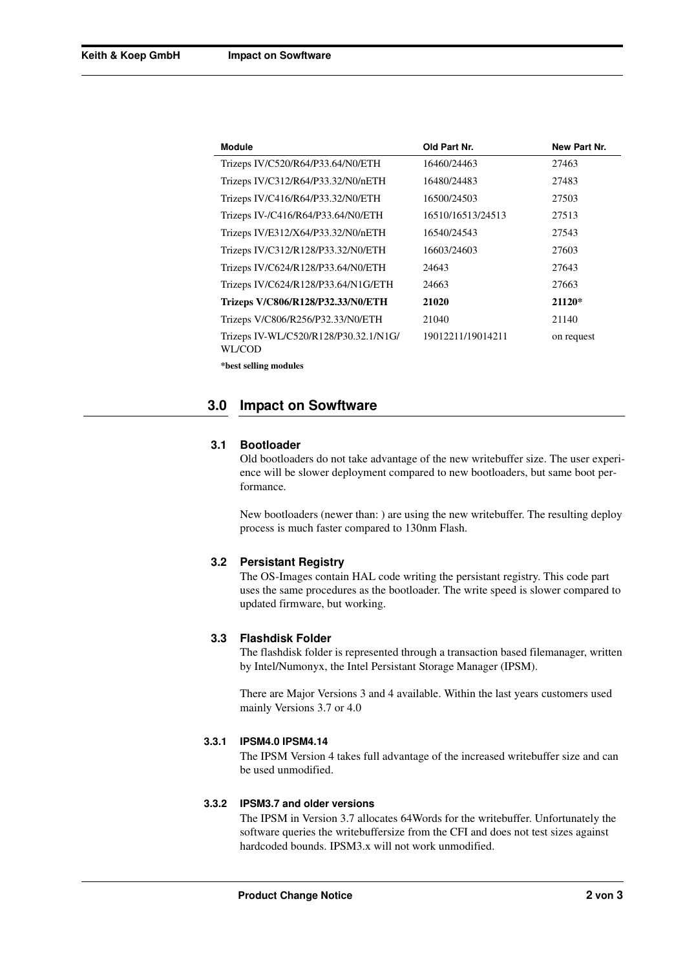| <b>Module</b>                                   | Old Part Nr.      | New Part Nr. |
|-------------------------------------------------|-------------------|--------------|
| Trizeps IV/C520/R64/P33.64/N0/ETH               | 16460/24463       | 27463        |
| Trizeps IV/C312/R64/P33.32/N0/nETH              | 16480/24483       | 27483        |
| Trizeps IV/C416/R64/P33.32/N0/ETH               | 16500/24503       | 27503        |
| Trizeps IV-/C416/R64/P33.64/N0/ETH              | 16510/16513/24513 | 27513        |
| Trizeps IV/E312/X64/P33.32/N0/nETH              | 16540/24543       | 27543        |
| Trizeps IV/C312/R128/P33.32/N0/ETH              | 16603/24603       | 27603        |
| Trizeps IV/C624/R128/P33.64/N0/ETH              | 24643             | 27643        |
| Trizeps IV/C624/R128/P33.64/N1G/ETH             | 24663             | 27663        |
| Trizeps V/C806/R128/P32.33/N0/ETH               | 21020             | 21120*       |
| Trizeps V/C806/R256/P32.33/N0/ETH               | 21040             | 21140        |
| Trizeps IV-WL/C520/R128/P30.32.1/N1G/<br>WL/COD | 19012211/19014211 | on request   |
| *best selling modules                           |                   |              |

### **3.0 Impact on Sowftware**

#### **3.1 Bootloader**

Old bootloaders do not take advantage of the new writebuffer size. The user experience will be slower deployment compared to new bootloaders, but same boot performance.

New bootloaders (newer than: ) are using the new writebuffer. The resulting deploy process is much faster compared to 130nm Flash.

#### **3.2 Persistant Registry**

The OS-Images contain HAL code writing the persistant registry. This code part uses the same procedures as the bootloader. The write speed is slower compared to updated firmware, but working.

#### **3.3 Flashdisk Folder**

The flashdisk folder is represented through a transaction based filemanager, written by Intel/Numonyx, the Intel Persistant Storage Manager (IPSM).

There are Major Versions 3 and 4 available. Within the last years customers used mainly Versions 3.7 or 4.0

#### **3.3.1 IPSM4.0 IPSM4.14**

The IPSM Version 4 takes full advantage of the increased writebuffer size and can be used unmodified.

#### **3.3.2 IPSM3.7 and older versions**

The IPSM in Version 3.7 allocates 64Words for the writebuffer. Unfortunately the software queries the writebuffersize from the CFI and does not test sizes against hardcoded bounds. IPSM3.x will not work unmodified.